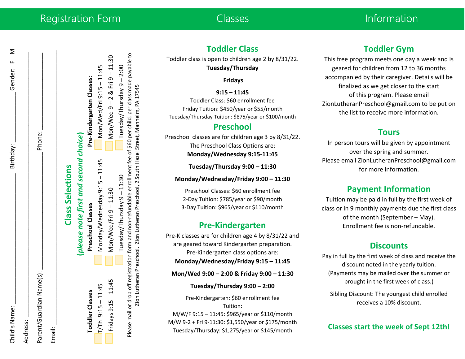| Child's Name:            | Birthday:                             | Gender: F M                   |
|--------------------------|---------------------------------------|-------------------------------|
| Address:                 |                                       |                               |
| Parent/Guardian Name(s): |                                       | Phone:                        |
| Email:                   |                                       |                               |
|                          | <b>Class Selections</b>               |                               |
|                          | (please note first and second choice) |                               |
| <b>Toddler Classes</b>   | Preschool Classes                     | Pre-Kindergarten Classes:     |
| T/Th 9:15-11:45          | Monday/Wednesday 9:15 - 11:45         | Mon/Wed/Fri 9:15 - 11:45      |
| Fridays 9:15 - 11:45     | Mon/Wed/Fri 9-11:30                   | $Mon/Wed9 - 2 & Fri9 - 11:30$ |

– 11:45 Mon/Wed/Fri 9

Tuesday/Thursday 9

Tuesday/Thursday 9

Please mail or drop off registration form and non-refundable enrollment fee of \$60 per child, per class made payable to  $\blacksquare$  Tuesday/Thursday 9 – 11:30<br>Please mail or drop off registration form and non-refundable enrollment fee of \$60 per child, per class made payable to Zion Lutheran Preschool. Zion Lutheran Preschool, 2 South Hazel Street, Manheim, PA 17545 Zion Lutheran Preschool. Zion Lutheran Preschool, 2 South Hazel Street, Manheim, PA 17545

 $-11:30$ 

– 11:30 Tuesday/Thursday 9

– 2 & Fri 9

– 11:30

# **Toddler Class**

Toddler class is open to children age 2 by 8/31/22. **Tuesday/Thursday**

#### **Fridays**

**9:15 – 11:45**

Toddler Class: \$60 enrollment fee Friday Tuition: \$450/year or \$55/month Tuesday/Thursday Tuition: \$875/year or \$100/month

# **Preschool**

Preschool classes are for children age 3 by 8/31/22. The Preschool Class Options are: **Monday/Wednesday 9:15-11:45**

**Tuesday/Thursday 9:00 – 11:30**

**Monday/Wednesday/Friday 9:00 – 11:30**

Preschool Classes: \$60 enrollment fee 2-Day Tuition: \$785/year or \$90/month 3-Day Tuition: \$965/year or \$110/month

# **Pre-Kindergarten**

Pre-K classes are for children age 4 by 8/31/22 and are geared toward Kindergarten preparation. Pre-Kindergarten class options are: **Monday/Wednesday/Friday 9:15 – 11:45**

**Mon/Wed 9:00 – 2:00 & Friday 9:00 – 11:30**

**Tuesday/Thursday 9:00 – 2:00**

Pre-Kindergarten: \$60 enrollment fee Tuition: M/W/F 9:15 – 11:45: \$965/year or \$110/month M/W 9-2 + Fri 9-11:30: \$1,550/year or \$175/month Tuesday/Thursday: \$1,275/year or \$145/month

# **Toddler Gym**

This free program meets one day a week and is geared for children from 12 to 36 months accompanied by their caregiver. Details will be finalized as we get closer to the start of this program. Please email ZionLutheranPreschool@gmail.com to be put on the list to receive more information.

### **Tours**

In person tours will be given by appointment over the spring and summer. Please email ZionLutheranPreschool@gmail.com for more information.

# **Payment Information**

Tuition may be paid in full by the first week of class or in 9 monthly payments due the first class of the month (September – May). Enrollment fee is non-refundable.

### **Discounts**

Pay in full by the first week of class and receive the discount noted in the yearly tuition. (Payments may be mailed over the summer or brought in the first week of class.)

Sibling Discount: The youngest child enrolled receives a 10% discount.

**Classes start the week of Sept 12th!**